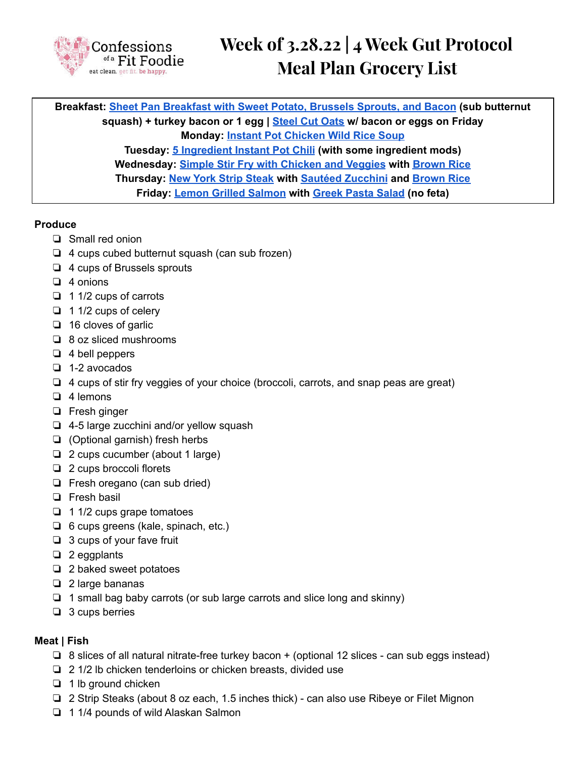

**Breakfast: Sheet Pan [Breakfast](https://confessionsofafitfoodie.com/80-day-obsession-sheet-pan-breakfast/) with Sweet Potato, Brussels Sprouts, and Bacon (sub butternut squash) + turkey bacon or 1 egg | [Steel](https://confessionsofafitfoodie.com/instant-pot-steel-cut-oats/) Cut Oats w/ bacon or eggs on Friday Monday: Instant Pot [Chicken](https://confessionsofafitfoodie.com/instant-pot-chicken-and-wild-rice-soup-gluten-and-dairy-free/) Wild Rice Soup Tuesday: 5 [Ingredient](https://confessionsofafitfoodie.com/5-ingredient-instant-pot-chili-21-day-fix-ww/) Instant Pot Chili (with some ingredient mods) Wednesday: Simple Stir Fry with [Chicken](https://confessionsofafitfoodie.com/21-day-fix-chicken-and-veggie-stir-fry/) and Veggies with [Brown](https://confessionsofafitfoodie.com/freezer-friendly-instant-pot-brown-rice/) Rice Thursday: New York Strip [Steak](https://confessionsofafitfoodie.com/how-to-make-new-york-strip-steak/) with Sautéed [Zucchini](https://confessionsofafitfoodie.com/sauteed-zucchini/) and [Brown](https://confessionsofafitfoodie.com/freezer-friendly-instant-pot-brown-rice/) Rice Friday: Lemon Grilled [Salmon](https://confessionsofafitfoodie.com/21-day-fix-simple-grilled-salmon/) with [Greek](https://confessionsofafitfoodie.com/21-day-fix-greek-pasta-salad-3/) Pasta Salad (no feta)**

# **Produce**

- ❏ Small red onion
- ❏ 4 cups cubed butternut squash (can sub frozen)
- ❏ 4 cups of Brussels sprouts
- ❏ 4 onions
- ❏ 1 1/2 cups of carrots
- ❏ 1 1/2 cups of celery
- ❏ 16 cloves of garlic
- ❏ 8 oz sliced mushrooms
- ❏ 4 bell peppers
- ❏ 1-2 avocados
- ❏ 4 cups of stir fry veggies of your choice (broccoli, carrots, and snap peas are great)
- ❏ 4 lemons
- ❏ Fresh ginger
- ❏ 4-5 large zucchini and/or yellow squash
- ❏ (Optional garnish) fresh herbs
- ❏ 2 cups cucumber (about 1 large)
- ❏ 2 cups broccoli florets
- ❏ Fresh oregano (can sub dried)
- ❏ Fresh basil
- ❏ 1 1/2 cups grape tomatoes
- ❏ 6 cups greens (kale, spinach, etc.)
- ❏ 3 cups of your fave fruit
- ❏ 2 eggplants
- ❏ 2 baked sweet potatoes
- ❏ 2 large bananas
- ❏ 1 small bag baby carrots (or sub large carrots and slice long and skinny)
- ❏ 3 cups berries

# **Meat | Fish**

- ❏ 8 slices of all natural nitrate-free turkey bacon + (optional 12 slices can sub eggs instead)
- ❏ 2 1/2 lb chicken tenderloins or chicken breasts, divided use
- ❏ 1 lb ground chicken
- ❏ 2 Strip Steaks (about 8 oz each, 1.5 inches thick) can also use Ribeye or Filet Mignon
- ❏ 1 1/4 pounds of wild Alaskan Salmon